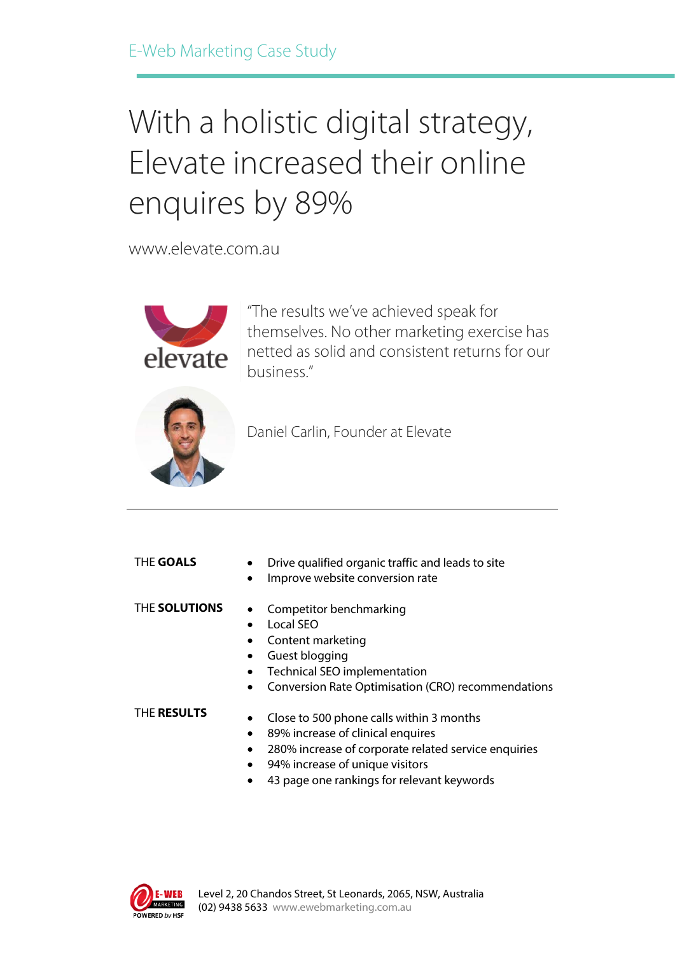# With a holistic digital strategy, Elevate increased their online enquires by 89%

www.elevate.com.au



"The results we've achieved speak for themselves. No other marketing exercise has netted as solid and consistent returns for our business."



Daniel Carlin, Founder at Elevate

#### THE **GOALS**

- Drive qualified organic traffic and leads to site
- Improve website conversion rate

#### THE **SOLUTIONS**

- Competitor benchmarking • Local SEO
- Content marketing
- Guest blogging
- Technical SEO implementation
- Conversion Rate Optimisation (CRO) recommendations

#### THE **RESULTS**

- Close to 500 phone calls within 3 months
- 89% increase of clinical enquires
- 280% increase of corporate related service enquiries
- 94% increase of unique visitors
- 43 page one rankings for relevant keywords

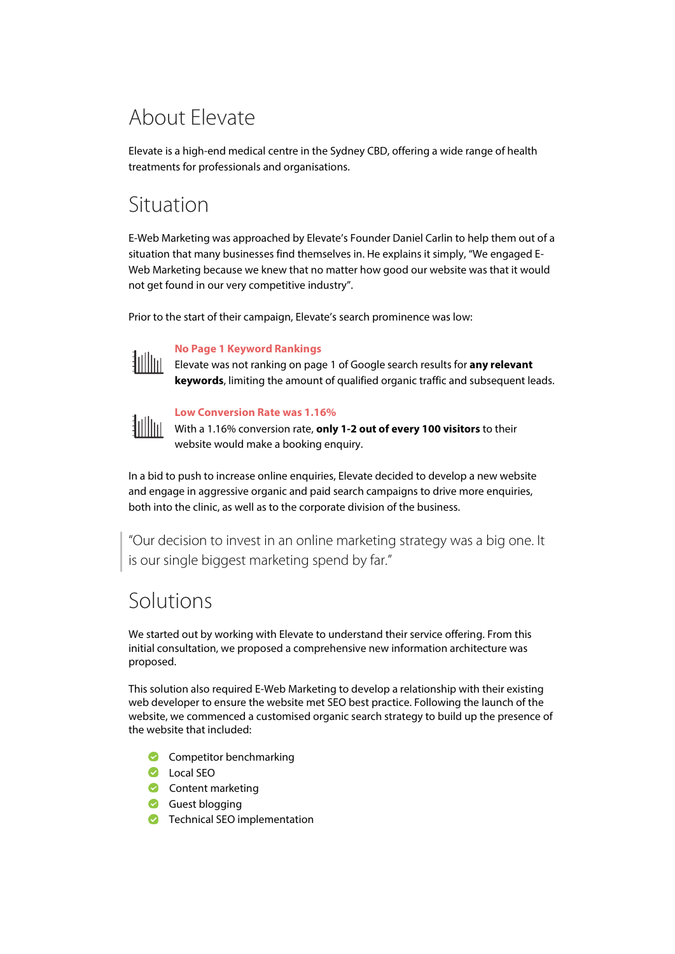# About Elevate

Elevate is a high-end medical centre in the Sydney CBD, offering a wide range of health treatments for professionals and organisations.

## Situation

E-Web Marketing was approached by Elevate's Founder Daniel Carlin to help them out of a situation that many businesses find themselves in. He explains it simply, "We engaged E-Web Marketing because we knew that no matter how good our website was that it would not get found in our very competitive industry".

Prior to the start of their campaign, Elevate's search prominence was low:



#### **No Page 1 Keyword Rankings**

Elevate was not ranking on page 1 of Google search results for **any relevant keywords**, limiting the amount of qualified organic traffic and subsequent leads.



#### **Low Conversion Rate was 1.16%**

With a 1.16% conversion rate, **only 1-2 out of every 100 visitors** to their website would make a booking enquiry.

In a bid to push to increase online enquiries, Elevate decided to develop a new website and engage in aggressive organic and paid search campaigns to drive more enquiries, both into the clinic, as well as to the corporate division of the business.

"Our decision to invest in an online marketing strategy was a big one. It is our single biggest marketing spend by far."

## Solutions

We started out by working with Elevate to understand their service offering. From this initial consultation, we proposed a comprehensive new information architecture was proposed.

This solution also required E-Web Marketing to develop a relationship with their existing web developer to ensure the website met SEO best practice. Following the launch of the website, we commenced a customised organic search strategy to build up the presence of the website that included:

- **Competitor benchmarking**
- **O** Local SEO
- Content marketing
- Guest blogging
- **C** Technical SEO implementation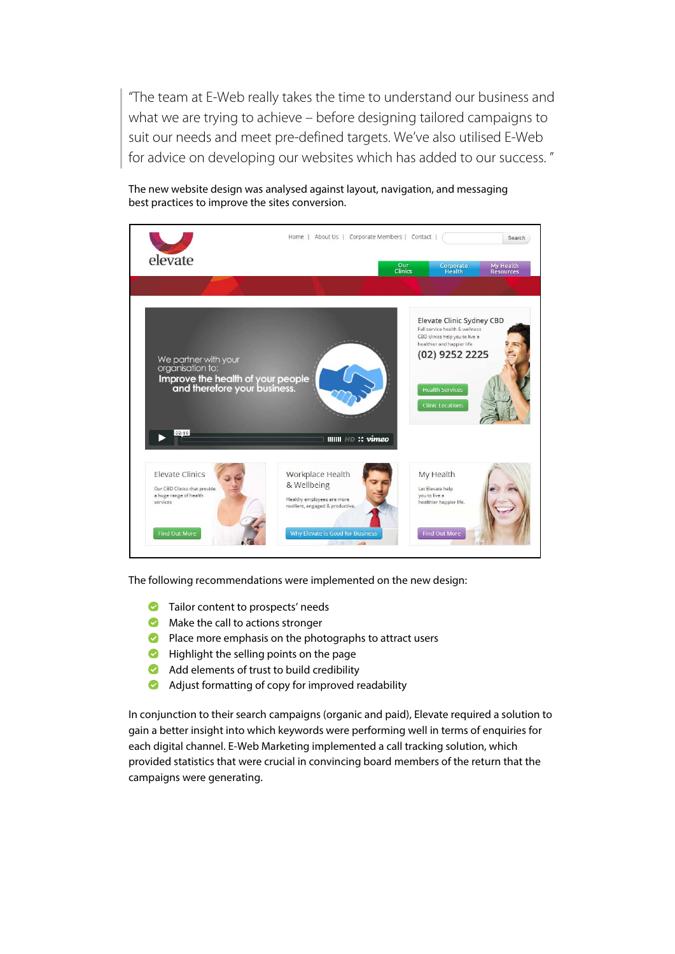"The team at E-Web really takes the time to understand our business and what we are trying to achieve – before designing tailored campaigns to suit our needs and meet pre-defined targets. We've also utilised E-Web for advice on developing our websites which has added to our success. "

The new website design was analysed against layout, navigation, and messaging best practices to improve the sites conversion.



The following recommendations were implemented on the new design:

- **Tailor content to prospects' needs**
- **Make the call to actions stronger**
- **P** Place more emphasis on the photographs to attract users
- **Highlight the selling points on the page**
- Add elements of trust to build credibility
- Ø Adjust formatting of copy for improved readability

In conjunction to their search campaigns (organic and paid), Elevate required a solution to gain a better insight into which keywords were performing well in terms of enquiries for each digital channel. E-Web Marketing implemented a call tracking solution, which provided statistics that were crucial in convincing board members of the return that the campaigns were generating.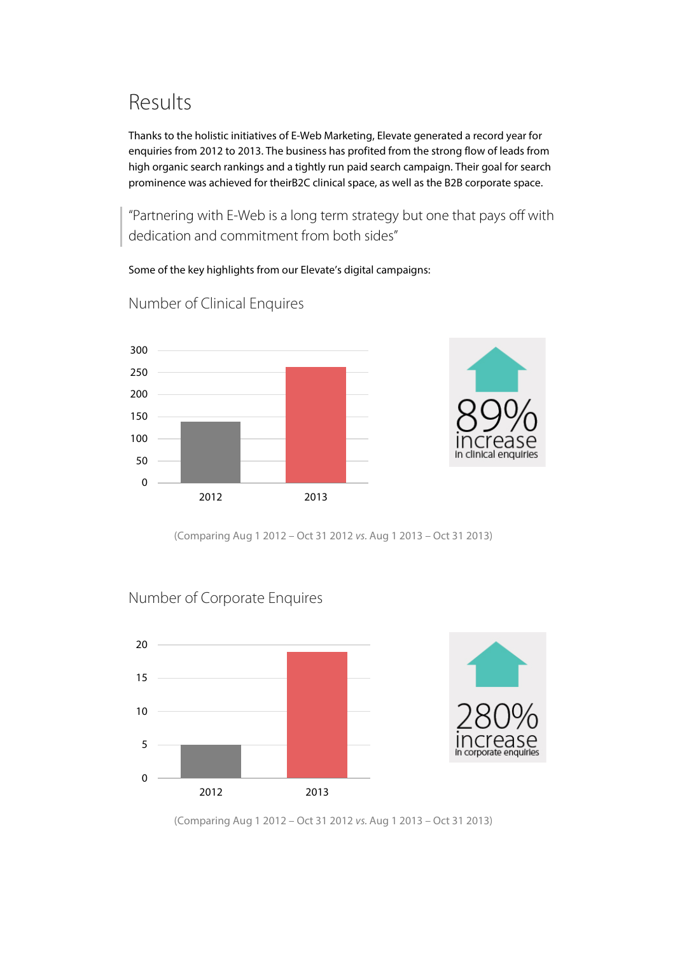# Results

Thanks to the holistic initiatives of E-Web Marketing, Elevate generated a record year for enquiries from 2012 to 2013. The business has profited from the strong flow of leads from high organic search rankings and a tightly run paid search campaign. Their goal for search prominence was achieved for theirB2C clinical space, as well as the B2B corporate space.

"Partnering with E-Web is a long term strategy but one that pays off with dedication and commitment from both sides"

Some of the key highlights from our Elevate's digital campaigns:



Number of Clinical Enquires



(Comparing Aug 1 2012 – Oct 31 2012 *vs.* Aug 1 2013 – Oct 31 2013)

#### Number of Corporate Enquires



(Comparing Aug 1 2012 – Oct 31 2012 *vs.* Aug 1 2013 – Oct 31 2013)